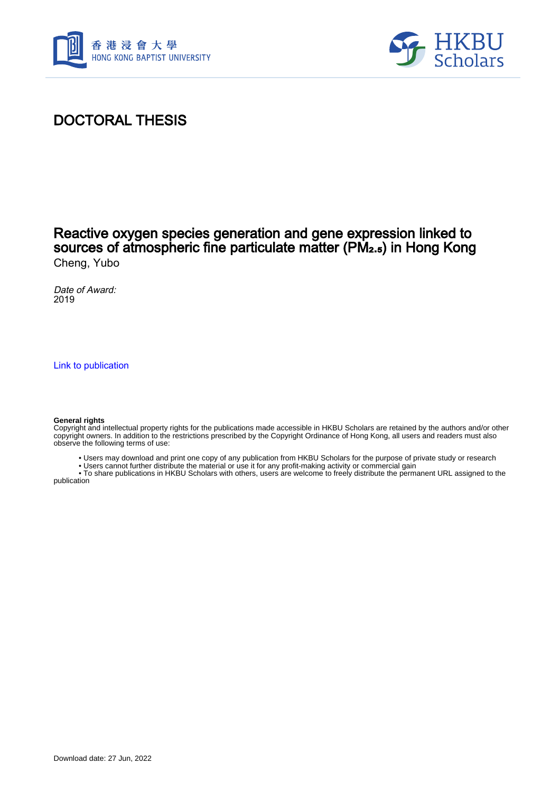



## DOCTORAL THESIS

## Reactive oxygen species generation and gene expression linked to sources of atmospheric fine particulate matter (PM₂.₅) in Hong Kong Cheng, Yubo

Date of Award: 2019

[Link to publication](https://scholars.hkbu.edu.hk/en/studentTheses/2a38ca32-6931-480d-bac2-5872276b03f2)

#### **General rights**

Copyright and intellectual property rights for the publications made accessible in HKBU Scholars are retained by the authors and/or other copyright owners. In addition to the restrictions prescribed by the Copyright Ordinance of Hong Kong, all users and readers must also observe the following terms of use:

- Users may download and print one copy of any publication from HKBU Scholars for the purpose of private study or research
- Users cannot further distribute the material or use it for any profit-making activity or commercial gain

 • To share publications in HKBU Scholars with others, users are welcome to freely distribute the permanent URL assigned to the publication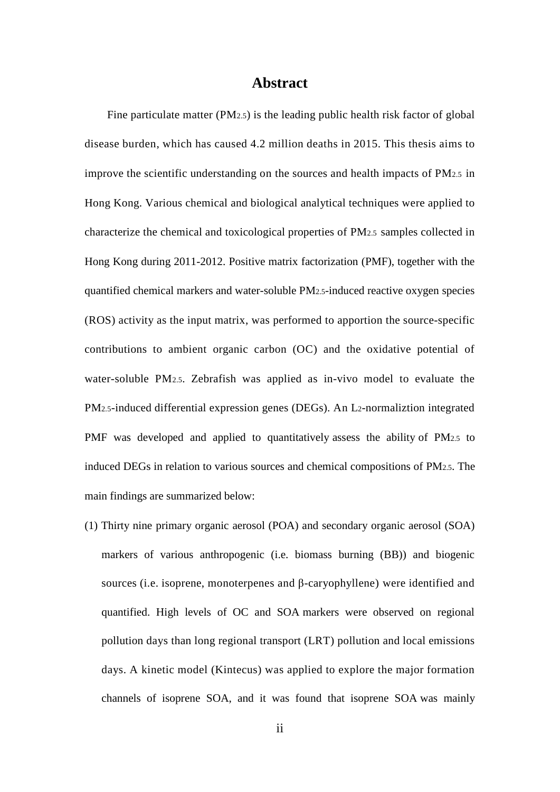### **Abstract**

Fine particulate matter (PM<sub>2.5</sub>) is the leading public health risk factor of global disease burden, which has caused 4.2 million deaths in 2015. This thesis aims to improve the scientific understanding on the sources and health impacts of PM2.5 in Hong Kong. Various chemical and biological analytical techniques were applied to characterize the chemical and toxicological properties of PM2.5 samples collected in Hong Kong during 2011-2012. Positive matrix factorization (PMF), together with the quantified chemical markers and water-soluble PM2.5-induced reactive oxygen species (ROS) activity as the input matrix, was performed to apportion the source-specific contributions to ambient organic carbon (OC) and the oxidative potential of water-soluble PM2.5. Zebrafish was applied as in-vivo model to evaluate the PM2.5-induced differential expression genes (DEGs). An L2-normaliztion integrated PMF was developed and applied to quantitatively assess the ability of PM2.5 to induced DEGs in relation to various sources and chemical compositions of PM2.5. The main findings are summarized below:

(1) Thirty nine primary organic aerosol (POA) and secondary organic aerosol (SOA) markers of various anthropogenic (i.e. biomass burning (BB)) and biogenic sources (i.e. isoprene, monoterpenes and β-caryophyllene) were identified and quantified. High levels of OC and SOA markers were observed on regional pollution days than long regional transport (LRT) pollution and local emissions days. A kinetic model (Kintecus) was applied to explore the major formation channels of isoprene SOA, and it was found that isoprene SOA was mainly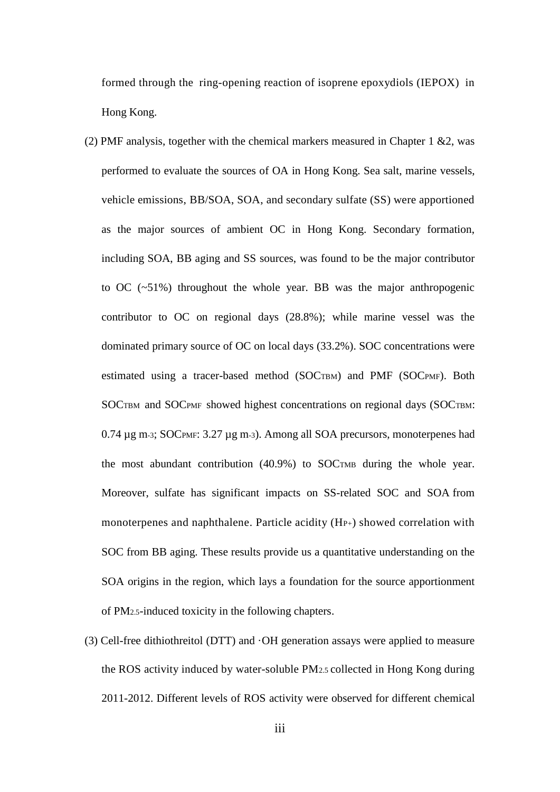formed through the ring-opening reaction of isoprene epoxydiols (IEPOX) in Hong Kong.

- (2) PMF analysis, together with the chemical markers measured in Chapter 1  $\&$ 2, was performed to evaluate the sources of OA in Hong Kong. Sea salt, marine vessels, vehicle emissions, BB/SOA, SOA, and secondary sulfate (SS) were apportioned as the major sources of ambient OC in Hong Kong. Secondary formation, including SOA, BB aging and SS sources, was found to be the major contributor to OC (~51%) throughout the whole year. BB was the major anthropogenic contributor to OC on regional days (28.8%); while marine vessel was the dominated primary source of OC on local days (33.2%). SOC concentrations were estimated using a tracer-based method (SOCTBM) and PMF (SOCPMF). Both SOCTBM and SOCPMF showed highest concentrations on regional days (SOCTBM: 0.74 µg m-3; SOCPMF: 3.27 µg m-3). Among all SOA precursors, monoterpenes had the most abundant contribution (40.9%) to SOCTMB during the whole year. Moreover, sulfate has significant impacts on SS-related SOC and SOA from monoterpenes and naphthalene. Particle acidity (H<sub>P+</sub>) showed correlation with SOC from BB aging. These results provide us a quantitative understanding on the SOA origins in the region, which lays a foundation for the source apportionment of PM2.5-induced toxicity in the following chapters.
- (3) Cell-free dithiothreitol (DTT) and ·OH generation assays were applied to measure the ROS activity induced by water-soluble PM2.5 collected in Hong Kong during 2011-2012. Different levels of ROS activity were observed for different chemical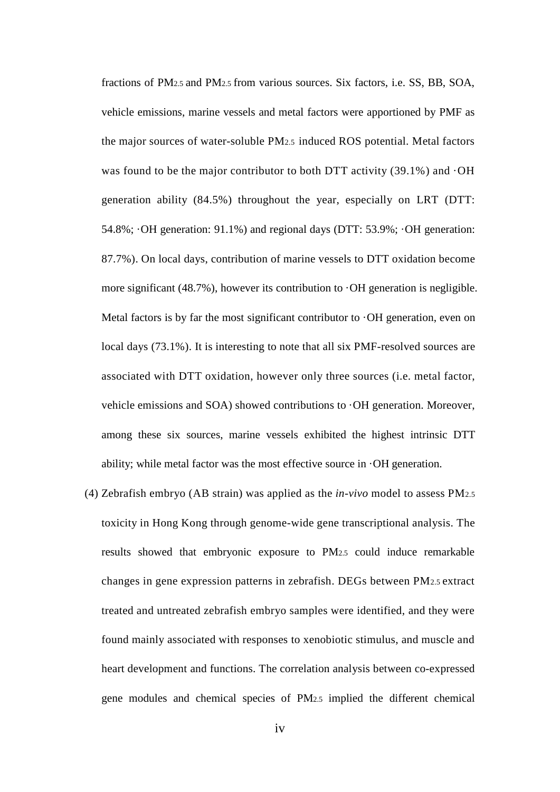fractions of PM2.5 and PM2.5 from various sources. Six factors, i.e. SS, BB, SOA, vehicle emissions, marine vessels and metal factors were apportioned by PMF as the major sources of water-soluble PM2.5 induced ROS potential. Metal factors was found to be the major contributor to both DTT activity  $(39.1\%)$  and  $\cdot$ OH generation ability (84.5%) throughout the year, especially on LRT (DTT: 54.8%; ·OH generation: 91.1%) and regional days (DTT: 53.9%; ·OH generation: 87.7%). On local days, contribution of marine vessels to DTT oxidation become more significant  $(48.7\%)$ , however its contribution to  $\cdot$ OH generation is negligible. Metal factors is by far the most significant contributor to  $\cdot$ OH generation, even on local days (73.1%). It is interesting to note that all six PMF-resolved sources are associated with DTT oxidation, however only three sources (i.e. metal factor, vehicle emissions and SOA) showed contributions to ·OH generation. Moreover, among these six sources, marine vessels exhibited the highest intrinsic DTT ability; while metal factor was the most effective source in ·OH generation.

(4) Zebrafish embryo (AB strain) was applied as the *in-vivo* model to assess PM2.5 toxicity in Hong Kong through genome-wide gene transcriptional analysis. The results showed that embryonic exposure to PM2.5 could induce remarkable changes in gene expression patterns in zebrafish. DEGs between PM2.5 extract treated and untreated zebrafish embryo samples were identified, and they were found mainly associated with responses to xenobiotic stimulus, and muscle and heart development and functions. The correlation analysis between co-expressed gene modules and chemical species of PM2.5 implied the different chemical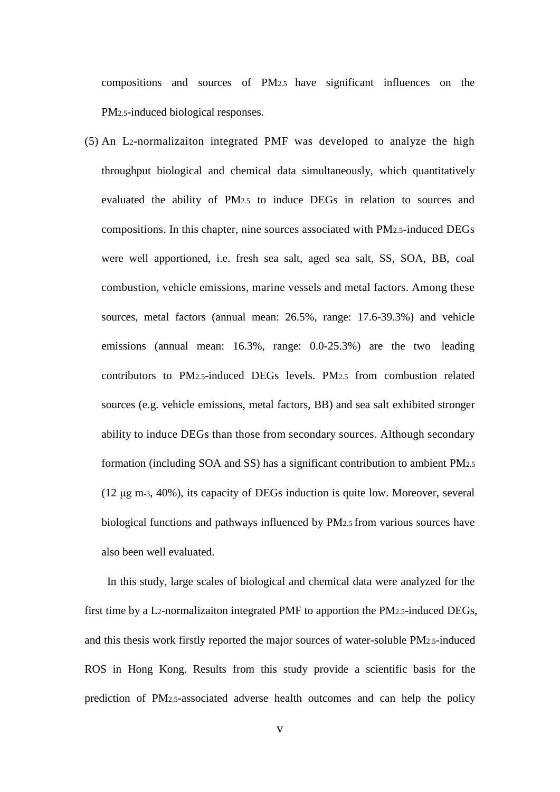compositions and sources of PM2.5 have significant influences on the PM2.5-induced biological responses.

(5) An L2-normalizaiton integrated PMF was developed to analyze the high throughput biological and chemical data simultaneously, which quantitatively evaluated the ability of PM2.5 to induce DEGs in relation to sources and compositions. In this chapter, nine sources associated with PM2.5-induced DEGs were well apportioned, i.e. fresh sea salt, aged sea salt, SS, SOA, BB, coal combustion, vehicle emissions, marine vessels and metal factors. Among these sources, metal factors (annual mean: 26.5%, range: 17.6-39.3%) and vehicle emissions (annual mean: 16.3%, range: 0.0-25.3%) are the two leading contributors to PM2.5-induced DEGs levels. PM2.5 from combustion related sources (e.g. vehicle emissions, metal factors, BB) and sea salt exhibited stronger ability to induce DEGs than those from secondary sources. Although secondary formation (including SOA and SS) has a significant contribution to ambient PM2.5 (12 μg m-3, 40%), its capacity of DEGs induction is quite low. Moreover, several biological functions and pathways influenced by PM2.5 from various sources have also been well evaluated.

In this study, large scales of biological and chemical data were analyzed for the first time by a L2-normalizaiton integrated PMF to apportion the PM2.5-induced DEGs, and this thesis work firstly reported the major sources of water-soluble PM2.5-induced ROS in Hong Kong. Results from this study provide a scientific basis for the prediction of PM2.5-associated adverse health outcomes and can help the policy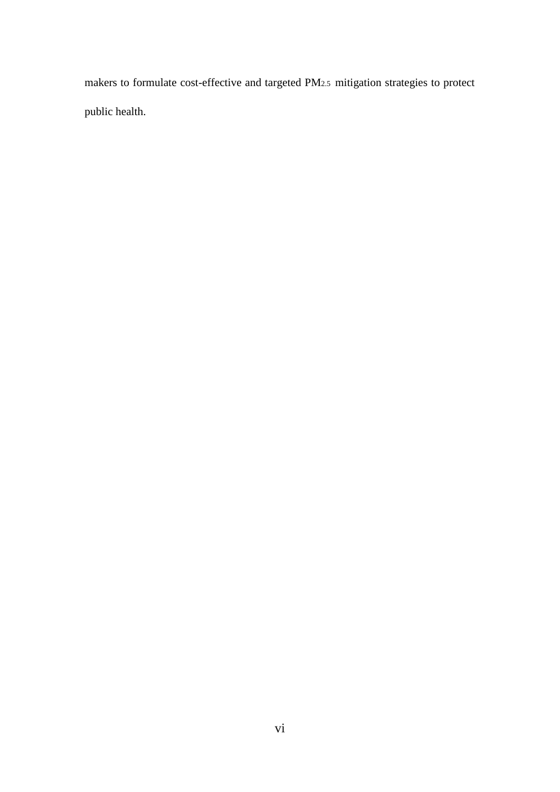makers to formulate cost-effective and targeted PM2.5 mitigation strategies to protect public health.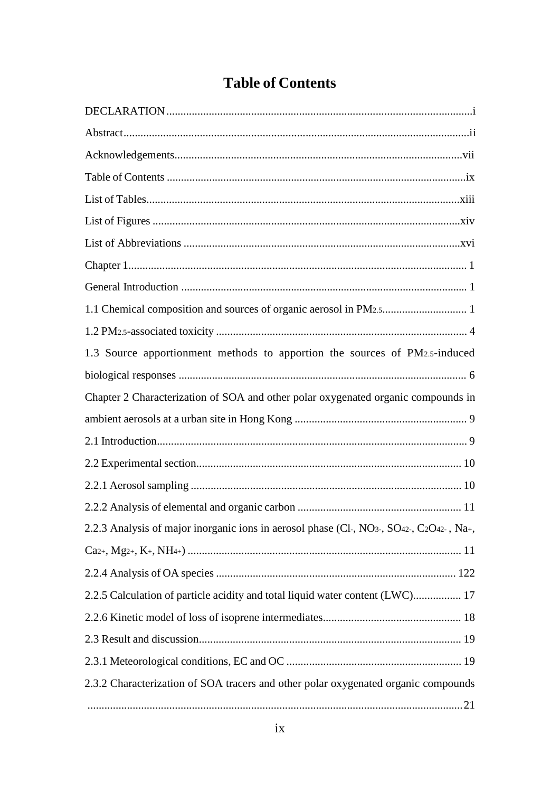# **Table of Contents**

| 1.3 Source apportionment methods to apportion the sources of PM2.5-induced                                                                               |
|----------------------------------------------------------------------------------------------------------------------------------------------------------|
|                                                                                                                                                          |
| Chapter 2 Characterization of SOA and other polar oxygenated organic compounds in                                                                        |
|                                                                                                                                                          |
|                                                                                                                                                          |
|                                                                                                                                                          |
|                                                                                                                                                          |
|                                                                                                                                                          |
| 2.2.3 Analysis of major inorganic ions in aerosol phase (Cl-, NO <sub>3</sub> -, SO <sub>42</sub> -, C <sub>2</sub> O <sub>42</sub> -, Na <sub>+</sub> , |
|                                                                                                                                                          |
|                                                                                                                                                          |
| 2.2.5 Calculation of particle acidity and total liquid water content (LWC) 17                                                                            |
|                                                                                                                                                          |
|                                                                                                                                                          |
|                                                                                                                                                          |
| 2.3.2 Characterization of SOA tracers and other polar oxygenated organic compounds                                                                       |
|                                                                                                                                                          |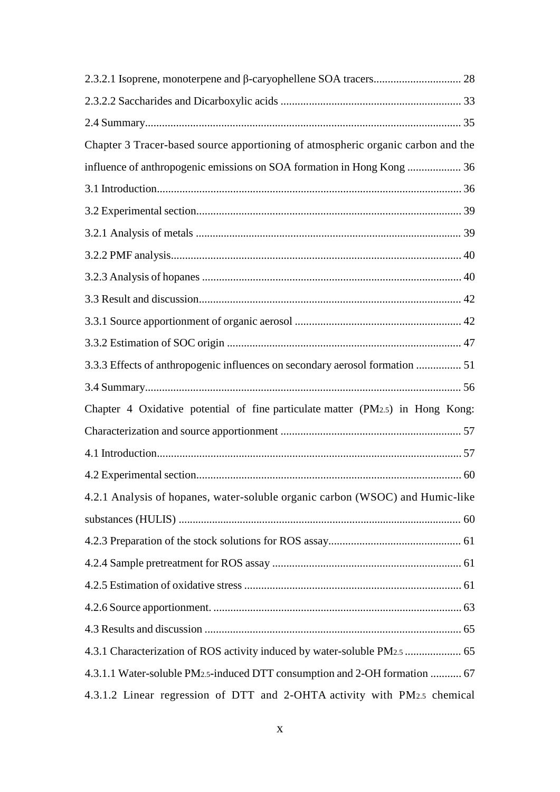| Chapter 3 Tracer-based source apportioning of atmospheric organic carbon and the        |
|-----------------------------------------------------------------------------------------|
| influence of anthropogenic emissions on SOA formation in Hong Kong  36                  |
|                                                                                         |
|                                                                                         |
|                                                                                         |
|                                                                                         |
|                                                                                         |
|                                                                                         |
|                                                                                         |
|                                                                                         |
| 3.3.3 Effects of anthropogenic influences on secondary aerosol formation  51            |
|                                                                                         |
| Chapter 4 Oxidative potential of fine particulate matter (PM2.5) in Hong Kong:          |
|                                                                                         |
|                                                                                         |
|                                                                                         |
| 4.2.1 Analysis of hopanes, water-soluble organic carbon (WSOC) and Humic-like           |
|                                                                                         |
|                                                                                         |
|                                                                                         |
|                                                                                         |
|                                                                                         |
|                                                                                         |
|                                                                                         |
| 4.3.1.1 Water-soluble PM <sub>2.5</sub> -induced DTT consumption and 2-OH formation  67 |
| 4.3.1.2 Linear regression of DTT and 2-OHTA activity with PM2.5 chemical                |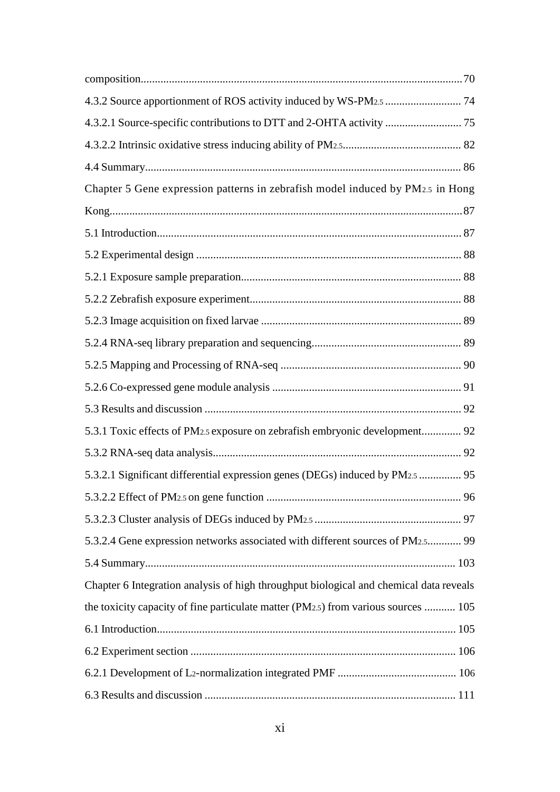| Chapter 5 Gene expression patterns in zebrafish model induced by PM2.5 in Hong         |  |
|----------------------------------------------------------------------------------------|--|
|                                                                                        |  |
|                                                                                        |  |
|                                                                                        |  |
|                                                                                        |  |
|                                                                                        |  |
|                                                                                        |  |
|                                                                                        |  |
|                                                                                        |  |
|                                                                                        |  |
|                                                                                        |  |
| 5.3.1 Toxic effects of PM2.5 exposure on zebrafish embryonic development 92            |  |
|                                                                                        |  |
| 5.3.2.1 Significant differential expression genes (DEGs) induced by PM2.5  95          |  |
|                                                                                        |  |
|                                                                                        |  |
| 5.3.2.4 Gene expression networks associated with different sources of PM2.5 99         |  |
|                                                                                        |  |
| Chapter 6 Integration analysis of high throughput biological and chemical data reveals |  |
| the toxicity capacity of fine particulate matter (PM2.5) from various sources  105     |  |
|                                                                                        |  |
|                                                                                        |  |
|                                                                                        |  |
|                                                                                        |  |